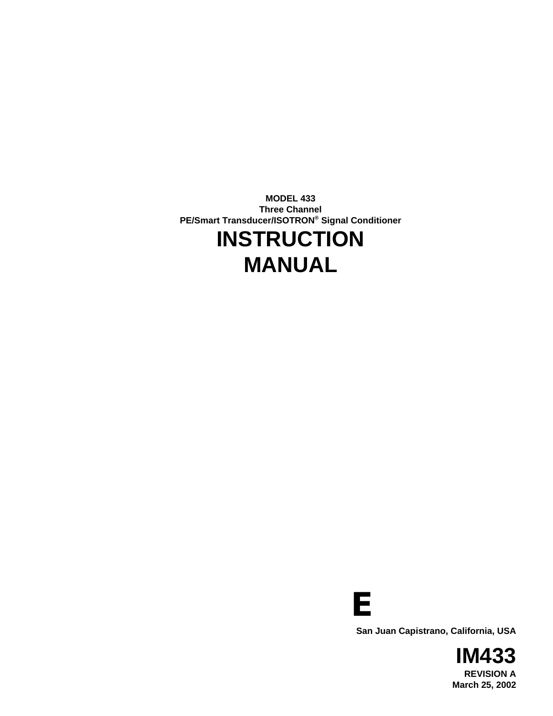**MODEL 433 Three Channel PE/Smart Transducer/ISOTRON® Signal Conditioner INSTRUCTION MANUAL**



**San Juan Capistrano, California, USA**

**IM433 REVISION A March 25, 2002**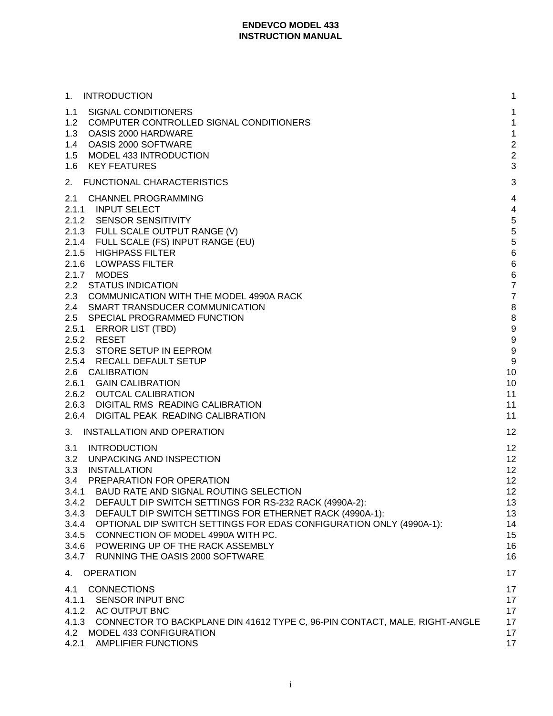| <b>INTRODUCTION</b><br>1.                                                                                                                                                                                                                                                                                                                                                                                                                                                                                                                                                                                      | 1                                                                                                                                                                            |
|----------------------------------------------------------------------------------------------------------------------------------------------------------------------------------------------------------------------------------------------------------------------------------------------------------------------------------------------------------------------------------------------------------------------------------------------------------------------------------------------------------------------------------------------------------------------------------------------------------------|------------------------------------------------------------------------------------------------------------------------------------------------------------------------------|
| SIGNAL CONDITIONERS<br>1.1<br>1.2<br>COMPUTER CONTROLLED SIGNAL CONDITIONERS<br>1.3<br>OASIS 2000 HARDWARE<br>OASIS 2000 SOFTWARE<br>$1.4^{\circ}$<br>MODEL 433 INTRODUCTION<br>1.5<br><b>KEY FEATURES</b><br>1.6                                                                                                                                                                                                                                                                                                                                                                                              | 1<br>1<br>$\mathbf{1}$<br>$\overline{\mathbf{c}}$<br>$\overline{c}$<br>3                                                                                                     |
| 2.<br>FUNCTIONAL CHARACTERISTICS                                                                                                                                                                                                                                                                                                                                                                                                                                                                                                                                                                               | 3                                                                                                                                                                            |
| <b>CHANNEL PROGRAMMING</b><br>2.1<br>2.1.1 INPUT SELECT<br>2.1.2 SENSOR SENSITIVITY<br>2.1.3 FULL SCALE OUTPUT RANGE (V)<br>2.1.4 FULL SCALE (FS) INPUT RANGE (EU)<br>2.1.5 HIGHPASS FILTER<br>2.1.6 LOWPASS FILTER<br>2.1.7 MODES<br>2.2 STATUS INDICATION<br>2.3<br>COMMUNICATION WITH THE MODEL 4990A RACK<br>2.4 SMART TRANSDUCER COMMUNICATION<br>2.5 SPECIAL PROGRAMMED FUNCTION<br>2.5.1 ERROR LIST (TBD)<br>2.5.2 RESET<br>2.5.3 STORE SETUP IN EEPROM<br>2.5.4 RECALL DEFAULT SETUP<br>2.6 CALIBRATION<br>2.6.1 GAIN CALIBRATION<br>2.6.2 OUTCAL CALIBRATION<br>2.6.3 DIGITAL RMS READING CALIBRATION | $\overline{\mathcal{A}}$<br>$\overline{\mathcal{A}}$<br>5<br>5<br>5<br>6<br>6<br>6<br>$\overline{7}$<br>$\overline{7}$<br>8<br>8<br>9<br>9<br>9<br>9<br>10<br>10<br>11<br>11 |
| 2.6.4 DIGITAL PEAK READING CALIBRATION<br>3.<br>INSTALLATION AND OPERATION                                                                                                                                                                                                                                                                                                                                                                                                                                                                                                                                     | 11<br>12                                                                                                                                                                     |
| <b>INTRODUCTION</b><br>3.1<br>3.2<br>UNPACKING AND INSPECTION<br>3.3<br>INSTALLATION<br>3.4<br>PREPARATION FOR OPERATION<br>3.4.1 BAUD RATE AND SIGNAL ROUTING SELECTION<br>3.4.2 DEFAULT DIP SWITCH SETTINGS FOR RS-232 RACK (4990A-2):<br>3.4.3 DEFAULT DIP SWITCH SETTINGS FOR ETHERNET RACK (4990A-1):<br>3.4.4 OPTIONAL DIP SWITCH SETTINGS FOR EDAS CONFIGURATION ONLY (4990A-1):<br>3.4.5 CONNECTION OF MODEL 4990A WITH PC.<br>3.4.6 POWERING UP OF THE RACK ASSEMBLY<br>3.4.7<br>RUNNING THE OASIS 2000 SOFTWARE                                                                                      | 12<br>12<br>12<br>12<br>12<br>13<br>13<br>14<br>15<br>16<br>16                                                                                                               |
| <b>OPERATION</b><br>4.                                                                                                                                                                                                                                                                                                                                                                                                                                                                                                                                                                                         | 17                                                                                                                                                                           |
| <b>CONNECTIONS</b><br>4.1<br>4.1.1 SENSOR INPUT BNC<br>4.1.2 AC OUTPUT BNC<br>4.1.3 CONNECTOR TO BACKPLANE DIN 41612 TYPE C, 96-PIN CONTACT, MALE, RIGHT-ANGLE<br>4.2 MODEL 433 CONFIGURATION<br>4.2.1 AMPLIFIER FUNCTIONS                                                                                                                                                                                                                                                                                                                                                                                     | 17<br>17<br>17<br>17<br>17<br>17                                                                                                                                             |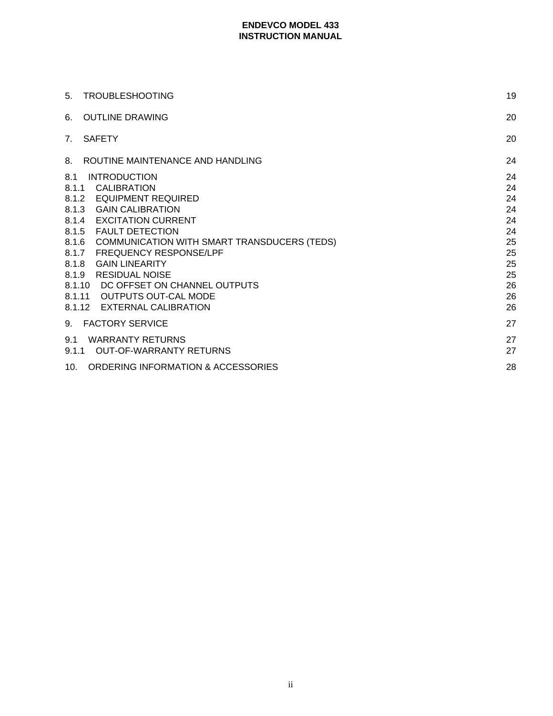| <b>TROUBLESHOOTING</b><br>5.                                                                                                                                                                                                                                                                                                                                                                                                                                                     | 19                                                                         |
|----------------------------------------------------------------------------------------------------------------------------------------------------------------------------------------------------------------------------------------------------------------------------------------------------------------------------------------------------------------------------------------------------------------------------------------------------------------------------------|----------------------------------------------------------------------------|
| <b>OUTLINE DRAWING</b><br>6.                                                                                                                                                                                                                                                                                                                                                                                                                                                     | 20                                                                         |
| <b>SAFETY</b><br>$7_{\scriptscriptstyle{\sim}}$                                                                                                                                                                                                                                                                                                                                                                                                                                  | 20                                                                         |
| ROUTINE MAINTENANCE AND HANDLING<br>8.                                                                                                                                                                                                                                                                                                                                                                                                                                           | 24                                                                         |
| <b>INTRODUCTION</b><br>8.1<br>8.1.1<br><b>CALIBRATION</b><br>8.1.2 EQUIPMENT REQUIRED<br>8.1.3<br><b>GAIN CALIBRATION</b><br><b>EXCITATION CURRENT</b><br>8.1.4<br><b>FAULT DETECTION</b><br>8.1.5<br>8.1.6<br>COMMUNICATION WITH SMART TRANSDUCERS (TEDS)<br><b>FREQUENCY RESPONSE/LPF</b><br>8.1.7<br>8.1.8<br><b>GAIN LINEARITY</b><br><b>RESIDUAL NOISE</b><br>8.1.9<br>8.1.10 DC OFFSET ON CHANNEL OUTPUTS<br>OUTPUTS OUT-CAL MODE<br>8.1.11<br>8.1.12 EXTERNAL CALIBRATION | 24<br>24<br>24<br>24<br>24<br>24<br>25<br>25<br>25<br>25<br>26<br>26<br>26 |
| <b>FACTORY SERVICE</b><br>9.                                                                                                                                                                                                                                                                                                                                                                                                                                                     | 27                                                                         |
| <b>WARRANTY RETURNS</b><br>9.1<br><b>OUT-OF-WARRANTY RETURNS</b><br>9.1.1                                                                                                                                                                                                                                                                                                                                                                                                        | 27<br>27                                                                   |
| ORDERING INFORMATION & ACCESSORIES<br>10.                                                                                                                                                                                                                                                                                                                                                                                                                                        | 28                                                                         |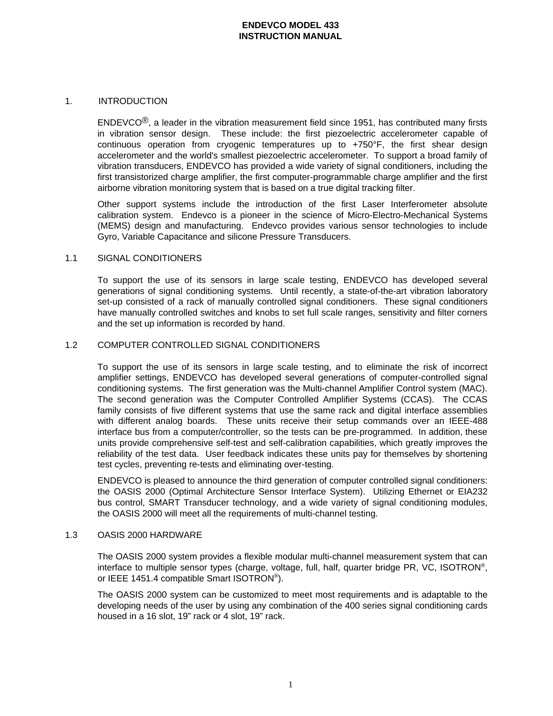### 1. INTRODUCTION

 $ENDEVCO<sup>®</sup>$ , a leader in the vibration measurement field since 1951, has contributed many firsts in vibration sensor design. These include: the first piezoelectric accelerometer capable of continuous operation from cryogenic temperatures up to +750°F, the first shear design accelerometer and the world's smallest piezoelectric accelerometer. To support a broad family of vibration transducers, ENDEVCO has provided a wide variety of signal conditioners, including the first transistorized charge amplifier, the first computer-programmable charge amplifier and the first airborne vibration monitoring system that is based on a true digital tracking filter.

Other support systems include the introduction of the first Laser Interferometer absolute calibration system. Endevco is a pioneer in the science of Micro-Electro-Mechanical Systems (MEMS) design and manufacturing. Endevco provides various sensor technologies to include Gyro, Variable Capacitance and silicone Pressure Transducers.

#### 1.1 SIGNAL CONDITIONERS

To support the use of its sensors in large scale testing, ENDEVCO has developed several generations of signal conditioning systems. Until recently, a state-of-the-art vibration laboratory set-up consisted of a rack of manually controlled signal conditioners. These signal conditioners have manually controlled switches and knobs to set full scale ranges, sensitivity and filter corners and the set up information is recorded by hand.

### 1.2 COMPUTER CONTROLLED SIGNAL CONDITIONERS

To support the use of its sensors in large scale testing, and to eliminate the risk of incorrect amplifier settings, ENDEVCO has developed several generations of computer-controlled signal conditioning systems. The first generation was the Multi-channel Amplifier Control system (MAC). The second generation was the Computer Controlled Amplifier Systems (CCAS). The CCAS family consists of five different systems that use the same rack and digital interface assemblies with different analog boards. These units receive their setup commands over an IEEE-488 interface bus from a computer/controller, so the tests can be pre-programmed. In addition, these units provide comprehensive self-test and self-calibration capabilities, which greatly improves the reliability of the test data. User feedback indicates these units pay for themselves by shortening test cycles, preventing re-tests and eliminating over-testing.

ENDEVCO is pleased to announce the third generation of computer controlled signal conditioners: the OASIS 2000 (Optimal Architecture Sensor Interface System). Utilizing Ethernet or EIA232 bus control, SMART Transducer technology, and a wide variety of signal conditioning modules, the OASIS 2000 will meet all the requirements of multi-channel testing.

#### 1.3 OASIS 2000 HARDWARE

The OASIS 2000 system provides a flexible modular multi-channel measurement system that can interface to multiple sensor types (charge, voltage, full, half, quarter bridge PR, VC, ISOTRON®, or IEEE 1451.4 compatible Smart ISOTRON®).

The OASIS 2000 system can be customized to meet most requirements and is adaptable to the developing needs of the user by using any combination of the 400 series signal conditioning cards housed in a 16 slot, 19" rack or 4 slot, 19" rack.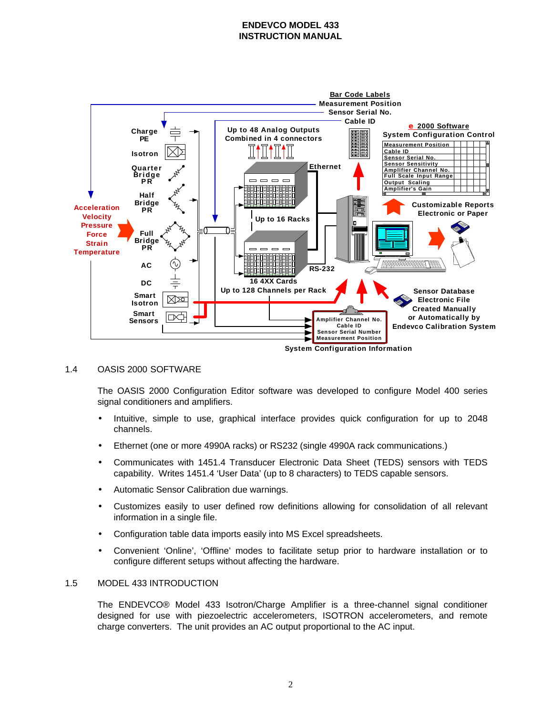

### 1.4 OASIS 2000 SOFTWARE

The OASIS 2000 Configuration Editor software was developed to configure Model 400 series signal conditioners and amplifiers.

- Intuitive, simple to use, graphical interface provides quick configuration for up to 2048 channels.
- Ethernet (one or more 4990A racks) or RS232 (single 4990A rack communications.)
- Communicates with 1451.4 Transducer Electronic Data Sheet (TEDS) sensors with TEDS capability. Writes 1451.4 'User Data' (up to 8 characters) to TEDS capable sensors.
- Automatic Sensor Calibration due warnings.
- Customizes easily to user defined row definitions allowing for consolidation of all relevant information in a single file.
- Configuration table data imports easily into MS Excel spreadsheets.
- Convenient 'Online', 'Offline' modes to facilitate setup prior to hardware installation or to configure different setups without affecting the hardware.

#### 1.5 MODEL 433 INTRODUCTION

The ENDEVCO® Model 433 Isotron/Charge Amplifier is a three-channel signal conditioner designed for use with piezoelectric accelerometers, ISOTRON accelerometers, and remote charge converters. The unit provides an AC output proportional to the AC input.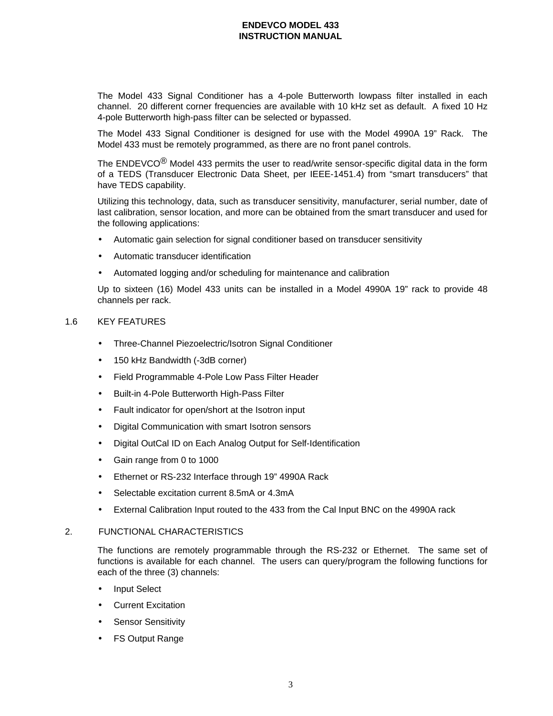The Model 433 Signal Conditioner has a 4-pole Butterworth lowpass filter installed in each channel. 20 different corner frequencies are available with 10 kHz set as default. A fixed 10 Hz 4-pole Butterworth high-pass filter can be selected or bypassed.

The Model 433 Signal Conditioner is designed for use with the Model 4990A 19" Rack. The Model 433 must be remotely programmed, as there are no front panel controls.

The ENDEVCO<sup>®</sup> Model 433 permits the user to read/write sensor-specific digital data in the form of a TEDS (Transducer Electronic Data Sheet, per IEEE-1451.4) from "smart transducers" that have TEDS capability.

Utilizing this technology, data, such as transducer sensitivity, manufacturer, serial number, date of last calibration, sensor location, and more can be obtained from the smart transducer and used for the following applications:

- Automatic gain selection for signal conditioner based on transducer sensitivity
- Automatic transducer identification
- Automated logging and/or scheduling for maintenance and calibration

Up to sixteen (16) Model 433 units can be installed in a Model 4990A 19" rack to provide 48 channels per rack.

#### 1.6 KEY FEATURES

- Three-Channel Piezoelectric/Isotron Signal Conditioner
- 150 kHz Bandwidth (-3dB corner)
- Field Programmable 4-Pole Low Pass Filter Header
- Built-in 4-Pole Butterworth High-Pass Filter
- Fault indicator for open/short at the Isotron input
- Digital Communication with smart Isotron sensors
- Digital OutCal ID on Each Analog Output for Self-Identification
- Gain range from 0 to 1000
- Ethernet or RS-232 Interface through 19" 4990A Rack
- Selectable excitation current 8.5mA or 4.3mA
- External Calibration Input routed to the 433 from the Cal Input BNC on the 4990A rack

#### 2. FUNCTIONAL CHARACTERISTICS

The functions are remotely programmable through the RS-232 or Ethernet. The same set of functions is available for each channel. The users can query/program the following functions for each of the three (3) channels:

- Input Select
- Current Excitation
- **Sensor Sensitivity**
- FS Output Range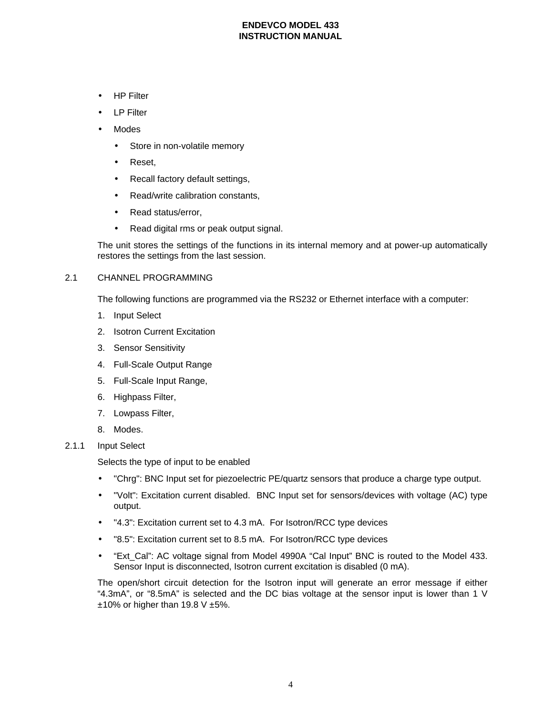- HP Filter
- LP Filter
- Modes
	- Store in non-volatile memory
	- Reset,
	- Recall factory default settings,
	- Read/write calibration constants.
	- Read status/error,
	- Read digital rms or peak output signal.

The unit stores the settings of the functions in its internal memory and at power-up automatically restores the settings from the last session.

### 2.1 CHANNEL PROGRAMMING

The following functions are programmed via the RS232 or Ethernet interface with a computer:

- 1. Input Select
- 2. Isotron Current Excitation
- 3. Sensor Sensitivity
- 4. Full-Scale Output Range
- 5. Full-Scale Input Range,
- 6. Highpass Filter,
- 7. Lowpass Filter,
- 8. Modes.
- 2.1.1 Input Select

Selects the type of input to be enabled

- "Chrg": BNC Input set for piezoelectric PE/quartz sensors that produce a charge type output.
- "Volt": Excitation current disabled. BNC Input set for sensors/devices with voltage (AC) type output.
- "4.3": Excitation current set to 4.3 mA. For Isotron/RCC type devices
- "8.5": Excitation current set to 8.5 mA. For Isotron/RCC type devices
- "Ext Cal": AC voltage signal from Model 4990A "Cal Input" BNC is routed to the Model 433. Sensor Input is disconnected, Isotron current excitation is disabled (0 mA).

The open/short circuit detection for the Isotron input will generate an error message if either "4.3mA", or "8.5mA" is selected and the DC bias voltage at the sensor input is lower than 1 V  $±10\%$  or higher than 19.8 V  $±5\%$ .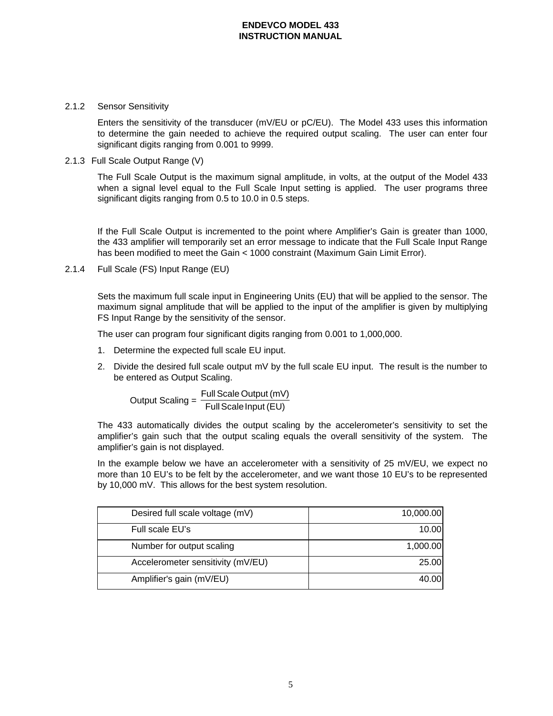### 2.1.2 Sensor Sensitivity

Enters the sensitivity of the transducer (mV/EU or pC/EU). The Model 433 uses this information to determine the gain needed to achieve the required output scaling. The user can enter four significant digits ranging from 0.001 to 9999.

# 2.1.3 Full Scale Output Range (V)

The Full Scale Output is the maximum signal amplitude, in volts, at the output of the Model 433 when a signal level equal to the Full Scale Input setting is applied. The user programs three significant digits ranging from 0.5 to 10.0 in 0.5 steps.

If the Full Scale Output is incremented to the point where Amplifier's Gain is greater than 1000, the 433 amplifier will temporarily set an error message to indicate that the Full Scale Input Range has been modified to meet the Gain < 1000 constraint (Maximum Gain Limit Error).

2.1.4 Full Scale (FS) Input Range (EU)

Sets the maximum full scale input in Engineering Units (EU) that will be applied to the sensor. The maximum signal amplitude that will be applied to the input of the amplifier is given by multiplying FS Input Range by the sensitivity of the sensor.

The user can program four significant digits ranging from 0.001 to 1,000,000.

- 1. Determine the expected full scale EU input.
- 2. Divide the desired full scale output  $mV$  by the full scale EU input. The result is the number to be entered as Output Scaling.

Output Scaling = Full Scale Output (mV)<br>Full Scale Input (EU)

The 433 automatically divides the output scaling by the accelerometer's sensitivity to set the amplifier's gain such that the output scaling equals the overall sensitivity of the system. The amplifier's gain is not displayed.

In the example below we have an accelerometer with a sensitivity of 25 mV/EU, we expect no more than 10 EU's to be felt by the accelerometer, and we want those 10 EU's to be represented by 10,000 mV. This allows for the best system resolution.

| Desired full scale voltage (mV)   | 10,000.00 |
|-----------------------------------|-----------|
| Full scale EU's                   | 10.00     |
| Number for output scaling         | 1,000.00  |
| Accelerometer sensitivity (mV/EU) | 25.00     |
| Amplifier's gain (mV/EU)          | 40.00     |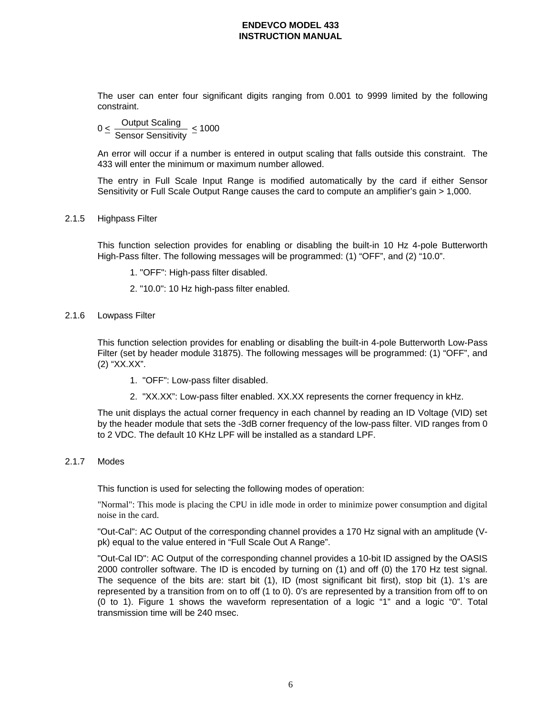The user can enter four significant digits ranging from 0.001 to 9999 limited by the following constraint.

 $0 \leq \frac{$ Output Scaling  $\frac{\text{Output } \text{learning}}{\text{Sensor Sensitivity}} \leq 1000$ 

An error will occur if a number is entered in output scaling that falls outside this constraint. The 433 will enter the minimum or maximum number allowed.

The entry in Full Scale Input Range is modified automatically by the card if either Sensor Sensitivity or Full Scale Output Range causes the card to compute an amplifier's gain > 1,000.

### 2.1.5 Highpass Filter

This function selection provides for enabling or disabling the built-in 10 Hz 4-pole Butterworth High-Pass filter. The following messages will be programmed: (1) "OFF", and (2) "10.0".

- 1. "OFF": High-pass filter disabled.
- 2. "10.0": 10 Hz high-pass filter enabled.
- 2.1.6 Lowpass Filter

This function selection provides for enabling or disabling the built-in 4-pole Butterworth Low-Pass Filter (set by header module 31875). The following messages will be programmed: (1) "OFF", and (2) "XX.XX".

- 1. "OFF": Low-pass filter disabled.
- 2. "XX.XX": Low-pass filter enabled. XX.XX represents the corner frequency in kHz.

The unit displays the actual corner frequency in each channel by reading an ID Voltage (VID) set by the header module that sets the -3dB corner frequency of the low-pass filter. VID ranges from 0 to 2 VDC. The default 10 KHz LPF will be installed as a standard LPF.

#### 2.1.7 Modes

This function is used for selecting the following modes of operation:

"Normal": This mode is placing the CPU in idle mode in order to minimize power consumption and digital noise in the card.

"Out-Cal": AC Output of the corresponding channel provides a 170 Hz signal with an amplitude (Vpk) equal to the value entered in "Full Scale Out A Range".

"Out-Cal ID": AC Output of the corresponding channel provides a 10-bit ID assigned by the OASIS 2000 controller software. The ID is encoded by turning on (1) and off (0) the 170 Hz test signal. The sequence of the bits are: start bit (1), ID (most significant bit first), stop bit (1). 1's are represented by a transition from on to off (1 to 0). 0's are represented by a transition from off to on (0 to 1). Figure 1 shows the waveform representation of a logic "1" and a logic "0". Total transmission time will be 240 msec.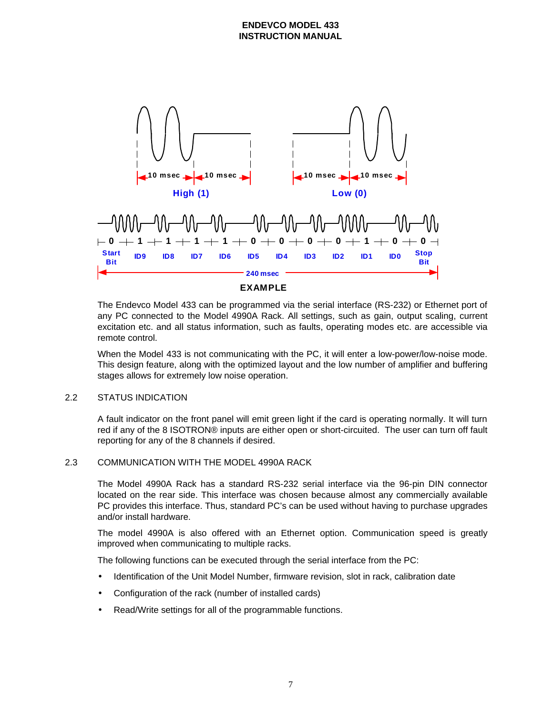



The Endevco Model 433 can be programmed via the serial interface (RS-232) or Ethernet port of any PC connected to the Model 4990A Rack. All settings, such as gain, output scaling, current excitation etc. and all status information, such as faults, operating modes etc. are accessible via remote control.

When the Model 433 is not communicating with the PC, it will enter a low-power/low-noise mode. This design feature, along with the optimized layout and the low number of amplifier and buffering stages allows for extremely low noise operation.

# 2.2 STATUS INDICATION

A fault indicator on the front panel will emit green light if the card is operating normally. It will turn red if any of the 8 ISOTRON® inputs are either open or short-circuited. The user can turn off fault reporting for any of the 8 channels if desired.

# 2.3 COMMUNICATION WITH THE MODEL 4990A RACK

The Model 4990A Rack has a standard RS-232 serial interface via the 96-pin DIN connector located on the rear side. This interface was chosen because almost any commercially available PC provides this interface. Thus, standard PC's can be used without having to purchase upgrades and/or install hardware.

The model 4990A is also offered with an Ethernet option. Communication speed is greatly improved when communicating to multiple racks.

The following functions can be executed through the serial interface from the PC:

- Identification of the Unit Model Number, firmware revision, slot in rack, calibration date
- Configuration of the rack (number of installed cards)
- Read/Write settings for all of the programmable functions.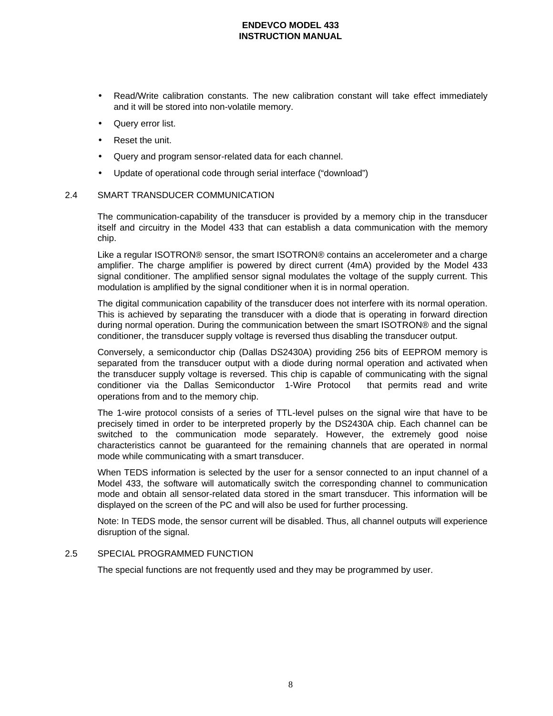- Read/Write calibration constants. The new calibration constant will take effect immediately and it will be stored into non-volatile memory.
- Query error list.
- Reset the unit.
- Query and program sensor-related data for each channel.
- Update of operational code through serial interface ("download")

### 2.4 SMART TRANSDUCER COMMUNICATION

The communication-capability of the transducer is provided by a memory chip in the transducer itself and circuitry in the Model 433 that can establish a data communication with the memory chip.

Like a regular ISOTRON® sensor, the smart ISOTRON® contains an accelerometer and a charge amplifier. The charge amplifier is powered by direct current (4mA) provided by the Model 433 signal conditioner. The amplified sensor signal modulates the voltage of the supply current. This modulation is amplified by the signal conditioner when it is in normal operation.

The digital communication capability of the transducer does not interfere with its normal operation. This is achieved by separating the transducer with a diode that is operating in forward direction during normal operation. During the communication between the smart ISOTRON® and the signal conditioner, the transducer supply voltage is reversed thus disabling the transducer output.

Conversely, a semiconductor chip (Dallas DS2430A) providing 256 bits of EEPROM memory is separated from the transducer output with a diode during normal operation and activated when the transducer supply voltage is reversed. This chip is capable of communicating with the signal conditioner via the Dallas Semiconductor <sup>®</sup>1-Wire Protocol <sup>®</sup> that permits read and write operations from and to the memory chip.

The 1-wire protocol consists of a series of TTL-level pulses on the signal wire that have to be precisely timed in order to be interpreted properly by the DS2430A chip. Each channel can be switched to the communication mode separately. However, the extremely good noise characteristics cannot be guaranteed for the remaining channels that are operated in normal mode while communicating with a smart transducer.

When TEDS information is selected by the user for a sensor connected to an input channel of a Model 433, the software will automatically switch the corresponding channel to communication mode and obtain all sensor-related data stored in the smart transducer. This information will be displayed on the screen of the PC and will also be used for further processing.

Note: In TEDS mode, the sensor current will be disabled. Thus, all channel outputs will experience disruption of the signal.

#### 2.5 SPECIAL PROGRAMMED FUNCTION

The special functions are not frequently used and they may be programmed by user.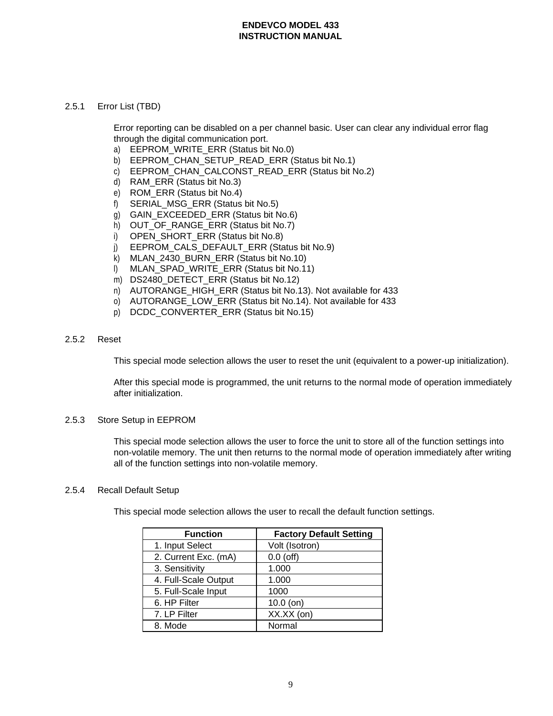### 2.5.1 Error List (TBD)

Error reporting can be disabled on a per channel basic. User can clear any individual error flag through the digital communication port.

- a) EEPROM\_WRITE\_ERR (Status bit No.0)
- b) EEPROM\_CHAN\_SETUP\_READ\_ERR (Status bit No.1)
- c) EEPROM\_CHAN\_CALCONST\_READ\_ERR (Status bit No.2)
- d) RAM\_ERR (Status bit No.3)
- e) ROM\_ERR (Status bit No.4)
- f) SERIAL\_MSG\_ERR (Status bit No.5)
- g) GAIN\_EXCEEDED\_ERR (Status bit No.6)
- h) OUT OF RANGE ERR (Status bit No.7)
- i) OPEN SHORT ERR (Status bit No.8)
- j) EEPROM\_CALS\_DEFAULT\_ERR (Status bit No.9)
- k) MLAN\_2430\_BURN\_ERR (Status bit No.10)
- l) MLAN\_SPAD\_WRITE\_ERR (Status bit No.11)
- m) DS2480 DETECT ERR (Status bit No.12)
- n) AUTORANGE\_HIGH\_ERR (Status bit No.13). Not available for 433
- o) AUTORANGE LOW ERR (Status bit No.14). Not available for 433
- p) DCDC\_CONVERTER\_ERR (Status bit No.15)

### 2.5.2 Reset

This special mode selection allows the user to reset the unit (equivalent to a power-up initialization).

After this special mode is programmed, the unit returns to the normal mode of operation immediately after initialization.

### 2.5.3 Store Setup in EEPROM

This special mode selection allows the user to force the unit to store all of the function settings into non-volatile memory. The unit then returns to the normal mode of operation immediately after writing all of the function settings into non-volatile memory.

# 2.5.4 Recall Default Setup

This special mode selection allows the user to recall the default function settings.

| <b>Function</b>      | <b>Factory Default Setting</b> |
|----------------------|--------------------------------|
| 1. Input Select      | Volt (Isotron)                 |
| 2. Current Exc. (mA) | $0.0$ (off)                    |
| 3. Sensitivity       | 1.000                          |
| 4. Full-Scale Output | 1.000                          |
| 5. Full-Scale Input  | 1000                           |
| 6. HP Filter         | $10.0$ (on)                    |
| 7. LP Filter         | XX.XX (on)                     |
| 8. Mode              | Normal                         |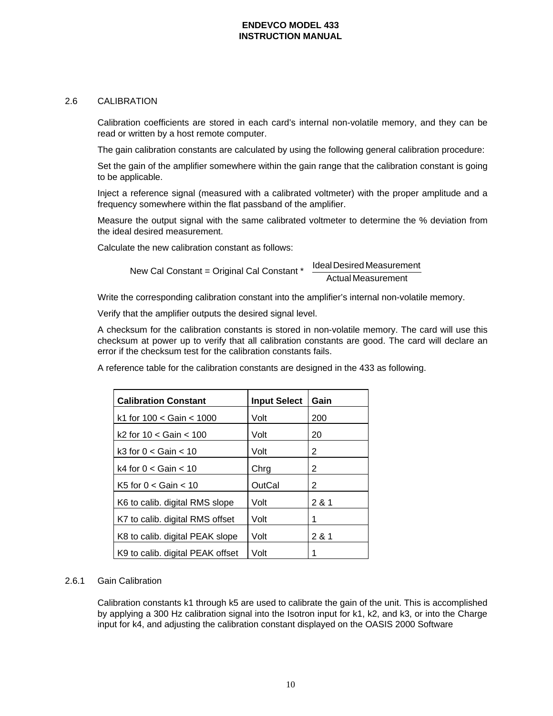### 2.6 CALIBRATION

Calibration coefficients are stored in each card's internal non-volatile memory, and they can be read or written by a host remote computer.

The gain calibration constants are calculated by using the following general calibration procedure:

Set the gain of the amplifier somewhere within the gain range that the calibration constant is going to be applicable.

Inject a reference signal (measured with a calibrated voltmeter) with the proper amplitude and a frequency somewhere within the flat passband of the amplifier.

Measure the output signal with the same calibrated voltmeter to determine the % deviation from the ideal desired measurement.

Calculate the new calibration constant as follows:

New Cal Constant = Original Cal Constant \*  $\frac{1}{2}$  Actual Magaynement  $\overline{1}$ (Ideal Desired Measurement) l ſ Actual Measurement IdealDesired Measurement

Write the corresponding calibration constant into the amplifier's internal non-volatile memory.

Verify that the amplifier outputs the desired signal level.

A checksum for the calibration constants is stored in non-volatile memory. The card will use this checksum at power up to verify that all calibration constants are good. The card will declare an error if the checksum test for the calibration constants fails.

A reference table for the calibration constants are designed in the 433 as following.

| <b>Calibration Constant</b>      | <b>Input Select</b> | Gain  |
|----------------------------------|---------------------|-------|
| k1 for $100 <$ Gain $< 1000$     | Volt                | 200   |
| k2 for $10 <$ Gain $< 100$       | Volt                | 20    |
| k3 for $0 <$ Gain $< 10$         | Volt                | 2     |
| k4 for $0 <$ Gain $< 10$         | Chrg                | 2     |
| K5 for $0 <$ Gain $< 10$         | OutCal              | 2     |
| K6 to calib. digital RMS slope   | Volt                | 2 & 1 |
| K7 to calib. digital RMS offset  | Volt                | 1     |
| K8 to calib. digital PEAK slope  | Volt                | 2 & 1 |
| K9 to calib. digital PEAK offset | Volt                | 1     |

# 2.6.1 Gain Calibration

Calibration constants k1 through k5 are used to calibrate the gain of the unit. This is accomplished by applying a 300 Hz calibration signal into the Isotron input for k1, k2, and k3, or into the Charge input for k4, and adjusting the calibration constant displayed on the OASIS 2000 Software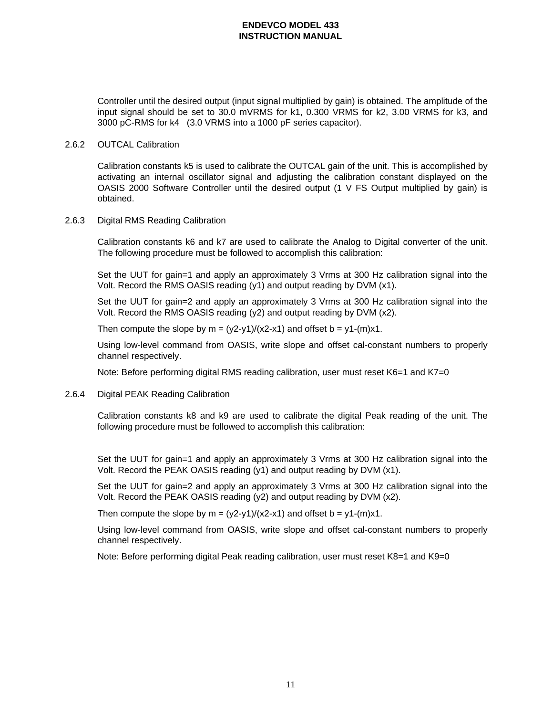Controller until the desired output (input signal multiplied by gain) is obtained. The amplitude of the input signal should be set to 30.0 mVRMS for k1, 0.300 VRMS for k2, 3.00 VRMS for k3, and 3000 pC-RMS for k4 (3.0 VRMS into a 1000 pF series capacitor).

### 2.6.2 OUTCAL Calibration

Calibration constants k5 is used to calibrate the OUTCAL gain of the unit. This is accomplished by activating an internal oscillator signal and adjusting the calibration constant displayed on the OASIS 2000 Software Controller until the desired output (1 V FS Output multiplied by gain) is obtained.

### 2.6.3 Digital RMS Reading Calibration

Calibration constants k6 and k7 are used to calibrate the Analog to Digital converter of the unit. The following procedure must be followed to accomplish this calibration:

Set the UUT for gain=1 and apply an approximately 3 Vrms at 300 Hz calibration signal into the Volt. Record the RMS OASIS reading (y1) and output reading by DVM (x1).

Set the UUT for gain=2 and apply an approximately 3 Vrms at 300 Hz calibration signal into the Volt. Record the RMS OASIS reading (y2) and output reading by DVM (x2).

Then compute the slope by  $m = (y2-y1)/(x2-x1)$  and offset  $b = y1-(m)x1$ .

Using low-level command from OASIS, write slope and offset cal-constant numbers to properly channel respectively.

Note: Before performing digital RMS reading calibration, user must reset K6=1 and K7=0

### 2.6.4 Digital PEAK Reading Calibration

Calibration constants k8 and k9 are used to calibrate the digital Peak reading of the unit. The following procedure must be followed to accomplish this calibration:

Set the UUT for gain=1 and apply an approximately 3 Vrms at 300 Hz calibration signal into the Volt. Record the PEAK OASIS reading (y1) and output reading by DVM (x1).

Set the UUT for gain=2 and apply an approximately 3 Vrms at 300 Hz calibration signal into the Volt. Record the PEAK OASIS reading (y2) and output reading by DVM (x2).

Then compute the slope by  $m = (y2-y1)/(x2-x1)$  and offset b = y1-(m)x1.

Using low-level command from OASIS, write slope and offset cal-constant numbers to properly channel respectively.

Note: Before performing digital Peak reading calibration, user must reset K8=1 and K9=0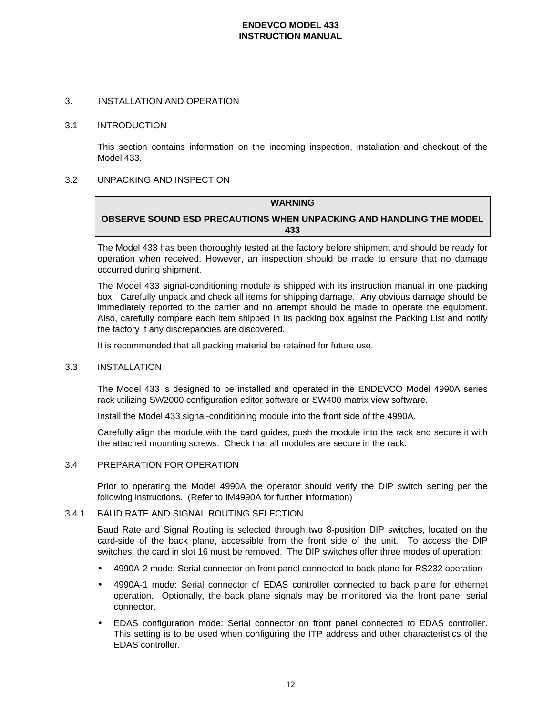#### 3. INSTALLATION AND OPERATION

#### 3.1 INTRODUCTION

This section contains information on the incoming inspection, installation and checkout of the Model 433.

### 3.2 UNPACKING AND INSPECTION

# **WARNING OBSERVE SOUND ESD PRECAUTIONS WHEN UNPACKING AND HANDLING THE MODEL 433**

The Model 433 has been thoroughly tested at the factory before shipment and should be ready for operation when received. However, an inspection should be made to ensure that no damage occurred during shipment.

The Model 433 signal-conditioning module is shipped with its instruction manual in one packing box. Carefully unpack and check all items for shipping damage. Any obvious damage should be immediately reported to the carrier and no attempt should be made to operate the equipment. Also, carefully compare each item shipped in its packing box against the Packing List and notify the factory if any discrepancies are discovered.

It is recommended that all packing material be retained for future use.

#### 3.3 INSTALLATION

The Model 433 is designed to be installed and operated in the ENDEVCO Model 4990A series rack utilizing SW2000 configuration editor software or SW400 matrix view software.

Install the Model 433 signal-conditioning module into the front side of the 4990A.

Carefully align the module with the card guides, push the module into the rack and secure it with the attached mounting screws. Check that all modules are secure in the rack.

#### 3.4 PREPARATION FOR OPERATION

Prior to operating the Model 4990A the operator should verify the DIP switch setting per the following instructions. (Refer to IM4990A for further information)

#### 3.4.1 BAUD RATE AND SIGNAL ROUTING SELECTION

Baud Rate and Signal Routing is selected through two 8-position DIP switches, located on the card-side of the back plane, accessible from the front side of the unit. To access the DIP switches, the card in slot 16 must be removed. The DIP switches offer three modes of operation:

- 4990A-2 mode: Serial connector on front panel connected to back plane for RS232 operation
- 4990A-1 mode: Serial connector of EDAS controller connected to back plane for ethernet operation. Optionally, the back plane signals may be monitored via the front panel serial connector.
- EDAS configuration mode: Serial connector on front panel connected to EDAS controller. This setting is to be used when configuring the ITP address and other characteristics of the EDAS controller.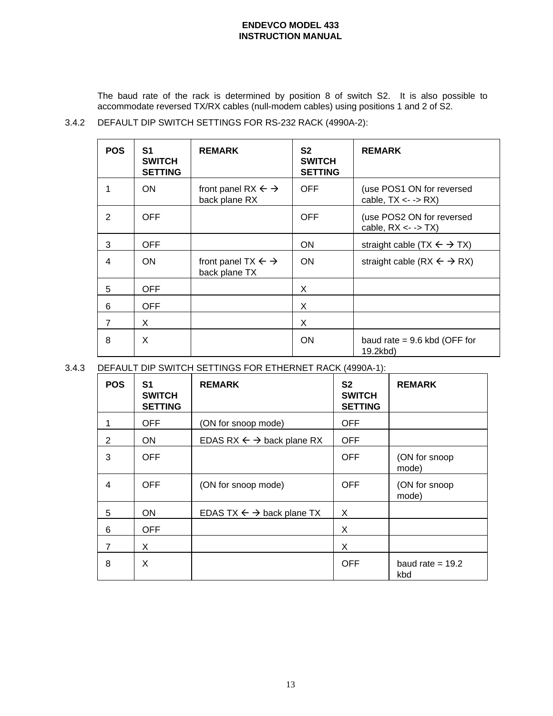The baud rate of the rack is determined by position 8 of switch S2. It is also possible to accommodate reversed TX/RX cables (null-modem cables) using positions 1 and 2 of S2.

3.4.2 DEFAULT DIP SWITCH SETTINGS FOR RS-232 RACK (4990A-2):

| <b>POS</b>     | S <sub>1</sub><br><b>SWITCH</b><br><b>SETTING</b> | <b>REMARK</b>                                            | S <sub>2</sub><br><b>SWITCH</b><br><b>SETTING</b> | <b>REMARK</b>                                                                                                                                                            |
|----------------|---------------------------------------------------|----------------------------------------------------------|---------------------------------------------------|--------------------------------------------------------------------------------------------------------------------------------------------------------------------------|
| 1              | <b>ON</b>                                         | front panel RX $\leftarrow \rightarrow$<br>back plane RX | <b>OFF</b>                                        | (use POS1 ON for reversed<br>cable, $TX \leftarrow \negthickspace \negthickspace \negthickspace \negthickspace \negthickspace \negthickspace \negthickspace \mathsf{RX}$ |
| 2              | <b>OFF</b>                                        |                                                          | <b>OFF</b>                                        | (use POS2 ON for reversed<br>cable, $RX \le -$ -> $TX$ )                                                                                                                 |
| 3              | <b>OFF</b>                                        |                                                          | ON                                                | straight cable $(TX \leftarrow \rightarrow TX)$                                                                                                                          |
| 4              | <b>ON</b>                                         | front panel TX $\leftarrow \rightarrow$<br>back plane TX | <b>ON</b>                                         | straight cable (RX $\leftarrow$ $\rightarrow$ RX)                                                                                                                        |
| 5              | <b>OFF</b>                                        |                                                          | X                                                 |                                                                                                                                                                          |
| 6              | <b>OFF</b>                                        |                                                          | X                                                 |                                                                                                                                                                          |
| $\overline{7}$ | X                                                 |                                                          | X                                                 |                                                                                                                                                                          |
| 8              | X                                                 |                                                          | <b>ON</b>                                         | baud rate $= 9.6$ kbd (OFF for<br>19.2kbd)                                                                                                                               |

3.4.3 DEFAULT DIP SWITCH SETTINGS FOR ETHERNET RACK (4990A-1):

| <b>POS</b> | S1<br><b>SWITCH</b><br><b>SETTING</b> | <b>REMARK</b>                                    | S <sub>2</sub><br><b>SWITCH</b><br><b>SETTING</b> | <b>REMARK</b>             |
|------------|---------------------------------------|--------------------------------------------------|---------------------------------------------------|---------------------------|
|            | <b>OFF</b>                            | (ON for snoop mode)                              | <b>OFF</b>                                        |                           |
| 2          | <b>ON</b>                             | EDAS RX $\leftarrow$ $\rightarrow$ back plane RX | <b>OFF</b>                                        |                           |
| 3          | <b>OFF</b>                            |                                                  | <b>OFF</b>                                        | (ON for snoop<br>mode)    |
| 4          | <b>OFF</b>                            | (ON for snoop mode)                              | <b>OFF</b>                                        | (ON for snoop<br>mode)    |
| 5          | <b>ON</b>                             | EDAS TX $\leftarrow \rightarrow$ back plane TX   | X                                                 |                           |
| 6          | <b>OFF</b>                            |                                                  | X                                                 |                           |
| 7          | X                                     |                                                  | X                                                 |                           |
| 8          | X                                     |                                                  | <b>OFF</b>                                        | baud rate $= 19.2$<br>kbd |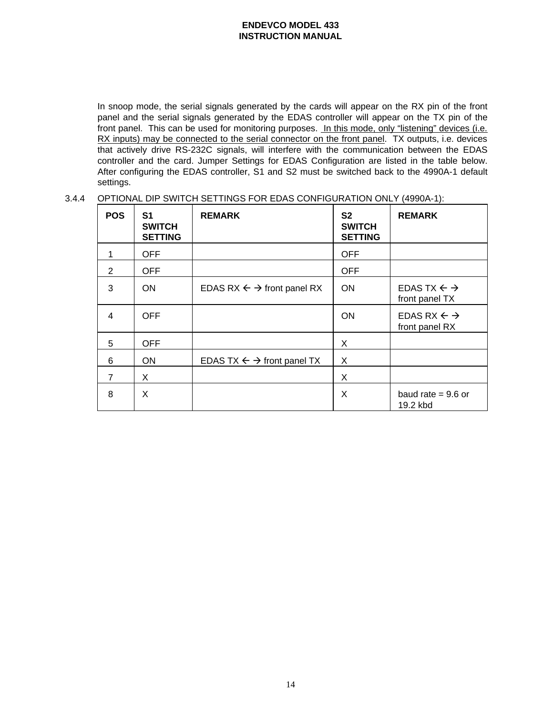In snoop mode, the serial signals generated by the cards will appear on the RX pin of the front panel and the serial signals generated by the EDAS controller will appear on the TX pin of the front panel. This can be used for monitoring purposes. In this mode, only "listening" devices (i.e. RX inputs) may be connected to the serial connector on the front panel. TX outputs, i.e. devices that actively drive RS-232C signals, will interfere with the communication between the EDAS controller and the card. Jumper Settings for EDAS Configuration are listed in the table below. After configuring the EDAS controller, S1 and S2 must be switched back to the 4990A-1 default settings.

3.4.4 OPTIONAL DIP SWITCH SETTINGS FOR EDAS CONFIGURATION ONLY (4990A-1):

| <b>POS</b>     | S1<br><b>SWITCH</b><br><b>SETTING</b> | <b>REMARK</b>                                     | <b>S2</b><br><b>SWITCH</b><br><b>SETTING</b> | <b>REMARK</b>                                      |
|----------------|---------------------------------------|---------------------------------------------------|----------------------------------------------|----------------------------------------------------|
| 1              | <b>OFF</b>                            |                                                   | <b>OFF</b>                                   |                                                    |
| 2              | <b>OFF</b>                            |                                                   | <b>OFF</b>                                   |                                                    |
| 3              | <b>ON</b>                             | EDAS RX $\leftarrow \rightarrow$ front panel RX   | <b>ON</b>                                    | EDAS TX $\leftarrow \rightarrow$<br>front panel TX |
| 4              | <b>OFF</b>                            |                                                   | <b>ON</b>                                    | EDAS RX $\leftarrow \rightarrow$<br>front panel RX |
| 5              | <b>OFF</b>                            |                                                   | X.                                           |                                                    |
| 6              | <b>ON</b>                             | EDAS TX $\leftarrow$ $\rightarrow$ front panel TX | X.                                           |                                                    |
| $\overline{7}$ | X                                     |                                                   | X                                            |                                                    |
| 8              | X                                     |                                                   | X                                            | baud rate = $9.6$ or<br>19.2 kbd                   |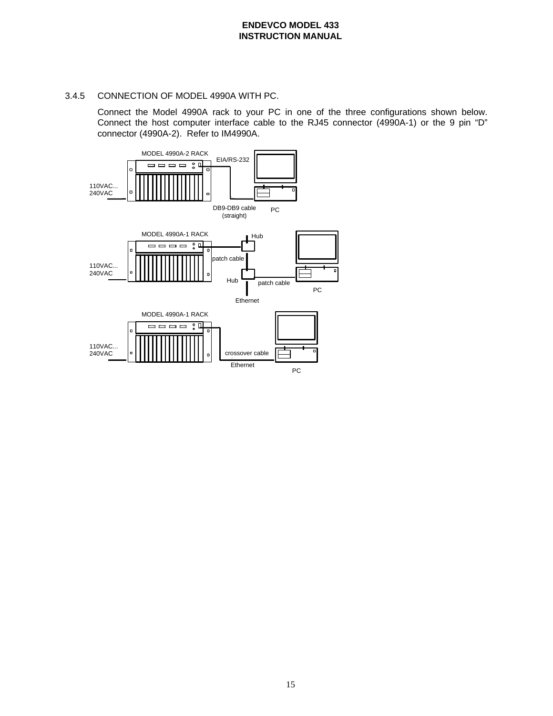### 3.4.5 CONNECTION OF MODEL 4990A WITH PC.

Connect the Model 4990A rack to your PC in one of the three configurations shown below. Connect the host computer interface cable to the RJ45 connector (4990A-1) or the 9 pin "D" connector (4990A-2). Refer to IM4990A.

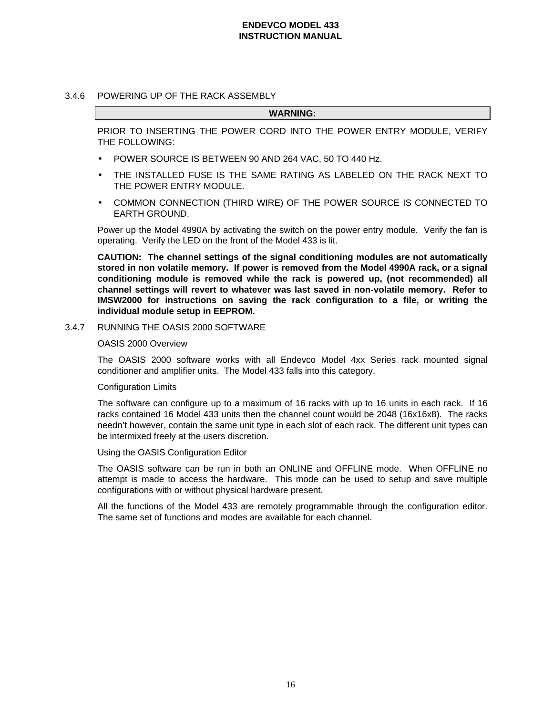#### 3.4.6 POWERING UP OF THE RACK ASSEMBLY

#### **WARNING:**

PRIOR TO INSERTING THE POWER CORD INTO THE POWER ENTRY MODULE, VERIFY THE FOLLOWING:

- POWER SOURCE IS BETWEEN 90 AND 264 VAC, 50 TO 440 Hz.
- THE INSTALLED FUSE IS THE SAME RATING AS LABELED ON THE RACK NEXT TO THE POWER ENTRY MODULE.
- COMMON CONNECTION (THIRD WIRE) OF THE POWER SOURCE IS CONNECTED TO EARTH GROUND.

Power up the Model 4990A by activating the switch on the power entry module. Verify the fan is operating. Verify the LED on the front of the Model 433 is lit.

**CAUTION: The channel settings of the signal conditioning modules are not automatically stored in non volatile memory. If power is removed from the Model 4990A rack, or a signal conditioning module is removed while the rack is powered up, (not recommended) all channel settings will revert to whatever was last saved in non-volatile memory. Refer to IMSW2000 for instructions on saving the rack configuration to a file, or writing the individual module setup in EEPROM.**

3.4.7 RUNNING THE OASIS 2000 SOFTWARE

#### OASIS 2000 Overview

The OASIS 2000 software works with all Endevco Model 4xx Series rack mounted signal conditioner and amplifier units. The Model 433 falls into this category.

### Configuration Limits

The software can configure up to a maximum of 16 racks with up to 16 units in each rack. If 16 racks contained 16 Model 433 units then the channel count would be 2048 (16x16x8). The racks needn't however, contain the same unit type in each slot of each rack. The different unit types can be intermixed freely at the users discretion.

#### Using the OASIS Configuration Editor

The OASIS software can be run in both an ONLINE and OFFLINE mode. When OFFLINE no attempt is made to access the hardware. This mode can be used to setup and save multiple configurations with or without physical hardware present.

All the functions of the Model 433 are remotely programmable through the configuration editor. The same set of functions and modes are available for each channel.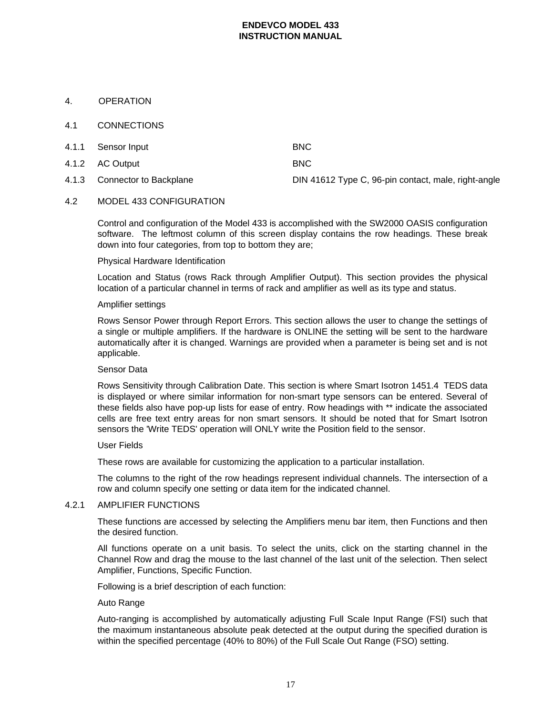### 4. OPERATION

### 4.1 CONNECTIONS

| 4.1.1 Sensor Input           | <b>BNC</b>                                          |
|------------------------------|-----------------------------------------------------|
| 4.1.2 AC Output              | <b>BNC</b>                                          |
| 4.1.3 Connector to Backplane | DIN 41612 Type C, 96-pin contact, male, right-angle |

# 4.2 MODEL 433 CONFIGURATION

Control and configuration of the Model 433 is accomplished with the SW2000 OASIS configuration software. The leftmost column of this screen display contains the row headings. These break down into four categories, from top to bottom they are;

### Physical Hardware Identification

Location and Status (rows Rack through Amplifier Output). This section provides the physical location of a particular channel in terms of rack and amplifier as well as its type and status.

#### Amplifier settings

Rows Sensor Power through Report Errors. This section allows the user to change the settings of a single or multiple amplifiers. If the hardware is ONLINE the setting will be sent to the hardware automatically after it is changed. Warnings are provided when a parameter is being set and is not applicable.

### Sensor Data

Rows Sensitivity through Calibration Date. This section is where Smart Isotron 1451.4 TEDS data is displayed or where similar information for non-smart type sensors can be entered. Several of these fields also have pop-up lists for ease of entry. Row headings with \*\* indicate the associated cells are free text entry areas for non smart sensors. It should be noted that for Smart Isotron sensors the 'Write TEDS' operation will ONLY write the Position field to the sensor.

#### User Fields

These rows are available for customizing the application to a particular installation.

The columns to the right of the row headings represent individual channels. The intersection of a row and column specify one setting or data item for the indicated channel.

# 4.2.1 AMPLIFIER FUNCTIONS

These functions are accessed by selecting the Amplifiers menu bar item, then Functions and then the desired function.

All functions operate on a unit basis. To select the units, click on the starting channel in the Channel Row and drag the mouse to the last channel of the last unit of the selection. Then select Amplifier, Functions, Specific Function.

Following is a brief description of each function:

#### Auto Range

Auto-ranging is accomplished by automatically adjusting Full Scale Input Range (FSI) such that the maximum instantaneous absolute peak detected at the output during the specified duration is within the specified percentage (40% to 80%) of the Full Scale Out Range (FSO) setting.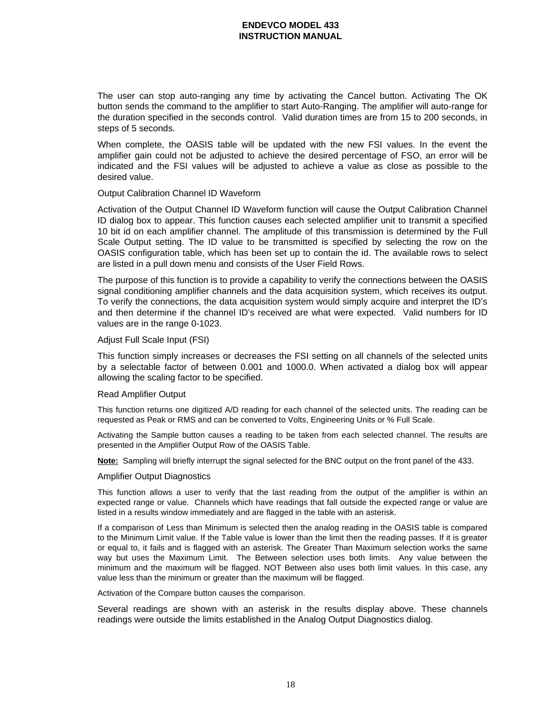The user can stop auto-ranging any time by activating the Cancel button. Activating The OK button sends the command to the amplifier to start Auto-Ranging. The amplifier will auto-range for the duration specified in the seconds control. Valid duration times are from 15 to 200 seconds, in steps of 5 seconds.

When complete, the OASIS table will be updated with the new FSI values. In the event the amplifier gain could not be adjusted to achieve the desired percentage of FSO, an error will be indicated and the FSI values will be adjusted to achieve a value as close as possible to the desired value.

#### Output Calibration Channel ID Waveform

Activation of the Output Channel ID Waveform function will cause the Output Calibration Channel ID dialog box to appear. This function causes each selected amplifier unit to transmit a specified 10 bit id on each amplifier channel. The amplitude of this transmission is determined by the Full Scale Output setting. The ID value to be transmitted is specified by selecting the row on the OASIS configuration table, which has been set up to contain the id. The available rows to select are listed in a pull down menu and consists of the User Field Rows.

The purpose of this function is to provide a capability to verify the connections between the OASIS signal conditioning amplifier channels and the data acquisition system, which receives its output. To verify the connections, the data acquisition system would simply acquire and interpret the ID's and then determine if the channel ID's received are what were expected. Valid numbers for ID values are in the range 0-1023.

#### Adjust Full Scale Input (FSI)

This function simply increases or decreases the FSI setting on all channels of the selected units by a selectable factor of between 0.001 and 1000.0. When activated a dialog box will appear allowing the scaling factor to be specified.

#### Read Amplifier Output

This function returns one digitized A/D reading for each channel of the selected units. The reading can be requested as Peak or RMS and can be converted to Volts, Engineering Units or % Full Scale.

Activating the Sample button causes a reading to be taken from each selected channel. The results are presented in the Amplifier Output Row of the OASIS Table.

**Note:** Sampling will briefly interrupt the signal selected for the BNC output on the front panel of the 433.

#### Amplifier Output Diagnostics

This function allows a user to verify that the last reading from the output of the amplifier is within an expected range or value. Channels which have readings that fall outside the expected range or value are listed in a results window immediately and are flagged in the table with an asterisk.

If a comparison of Less than Minimum is selected then the analog reading in the OASIS table is compared to the Minimum Limit value. If the Table value is lower than the limit then the reading passes. If it is greater or equal to, it fails and is flagged with an asterisk. The Greater Than Maximum selection works the same way but uses the Maximum Limit. The Between selection uses both limits. Any value between the minimum and the maximum will be flagged. NOT Between also uses both limit values. In this case, any value less than the minimum or greater than the maximum will be flagged.

Activation of the Compare button causes the comparison.

Several readings are shown with an asterisk in the results display above. These channels readings were outside the limits established in the Analog Output Diagnostics dialog.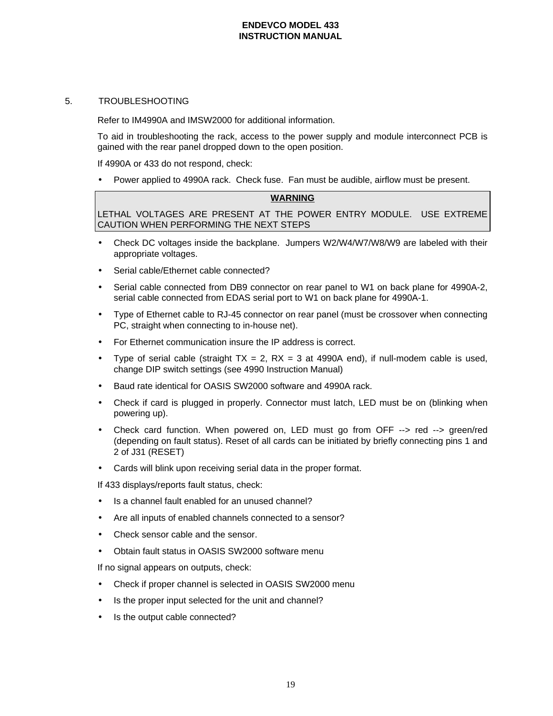#### 5. TROUBLESHOOTING

Refer to IM4990A and IMSW2000 for additional information.

To aid in troubleshooting the rack, access to the power supply and module interconnect PCB is gained with the rear panel dropped down to the open position.

If 4990A or 433 do not respond, check:

• Power applied to 4990A rack. Check fuse. Fan must be audible, airflow must be present.

#### **WARNING**

LETHAL VOLTAGES ARE PRESENT AT THE POWER ENTRY MODULE. USE EXTREME CAUTION WHEN PERFORMING THE NEXT STEPS

- Check DC voltages inside the backplane. Jumpers W2/W4/W7/W8/W9 are labeled with their appropriate voltages.
- Serial cable/Ethernet cable connected?
- Serial cable connected from DB9 connector on rear panel to W1 on back plane for 4990A-2, serial cable connected from EDAS serial port to W1 on back plane for 4990A-1.
- Type of Ethernet cable to RJ-45 connector on rear panel (must be crossover when connecting PC, straight when connecting to in-house net).
- For Ethernet communication insure the IP address is correct.
- Type of serial cable (straight  $TX = 2$ ,  $RX = 3$  at 4990A end), if null-modem cable is used, change DIP switch settings (see 4990 Instruction Manual)
- Baud rate identical for OASIS SW2000 software and 4990A rack.
- Check if card is plugged in properly. Connector must latch, LED must be on (blinking when powering up).
- Check card function. When powered on, LED must go from OFF --> red --> green/red (depending on fault status). Reset of all cards can be initiated by briefly connecting pins 1 and 2 of J31 (RESET)
- Cards will blink upon receiving serial data in the proper format.

If 433 displays/reports fault status, check:

- Is a channel fault enabled for an unused channel?
- Are all inputs of enabled channels connected to a sensor?
- Check sensor cable and the sensor.
- Obtain fault status in OASIS SW2000 software menu

If no signal appears on outputs, check:

- Check if proper channel is selected in OASIS SW2000 menu
- Is the proper input selected for the unit and channel?
- Is the output cable connected?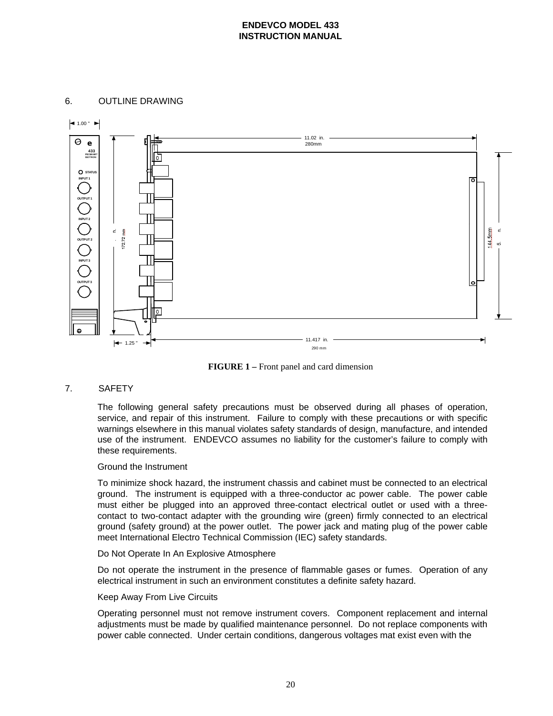### 6. OUTLINE DRAWING



**FIGURE 1 –** Front panel and card dimension

### 7. SAFETY

The following general safety precautions must be observed during all phases of operation, service, and repair of this instrument. Failure to comply with these precautions or with specific warnings elsewhere in this manual violates safety standards of design, manufacture, and intended use of the instrument. ENDEVCO assumes no liability for the customer's failure to comply with these requirements.

#### Ground the Instrument

To minimize shock hazard, the instrument chassis and cabinet must be connected to an electrical ground. The instrument is equipped with a three-conductor ac power cable. The power cable must either be plugged into an approved three-contact electrical outlet or used with a threecontact to two-contact adapter with the grounding wire (green) firmly connected to an electrical ground (safety ground) at the power outlet. The power jack and mating plug of the power cable meet International Electro Technical Commission (IEC) safety standards.

#### Do Not Operate In An Explosive Atmosphere

Do not operate the instrument in the presence of flammable gases or fumes. Operation of any electrical instrument in such an environment constitutes a definite safety hazard.

#### Keep Away From Live Circuits

Operating personnel must not remove instrument covers. Component replacement and internal adjustments must be made by qualified maintenance personnel. Do not replace components with power cable connected. Under certain conditions, dangerous voltages mat exist even with the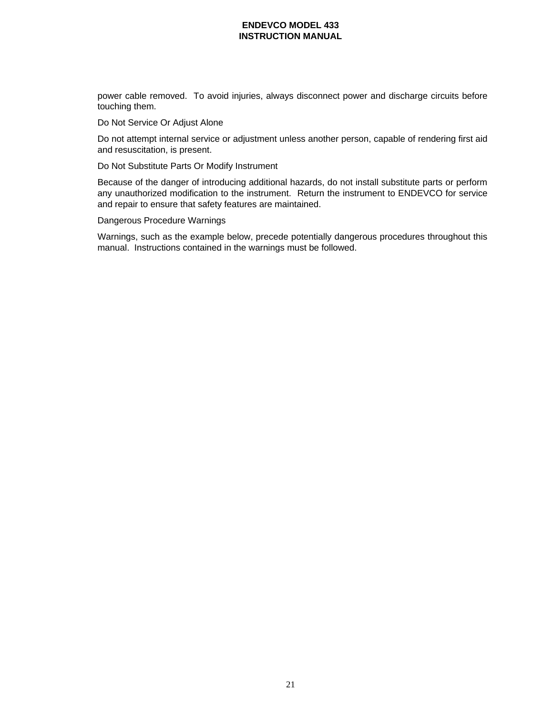power cable removed. To avoid injuries, always disconnect power and discharge circuits before touching them.

Do Not Service Or Adjust Alone

Do not attempt internal service or adjustment unless another person, capable of rendering first aid and resuscitation, is present.

Do Not Substitute Parts Or Modify Instrument

Because of the danger of introducing additional hazards, do not install substitute parts or perform any unauthorized modification to the instrument. Return the instrument to ENDEVCO for service and repair to ensure that safety features are maintained.

Dangerous Procedure Warnings

Warnings, such as the example below, precede potentially dangerous procedures throughout this manual. Instructions contained in the warnings must be followed.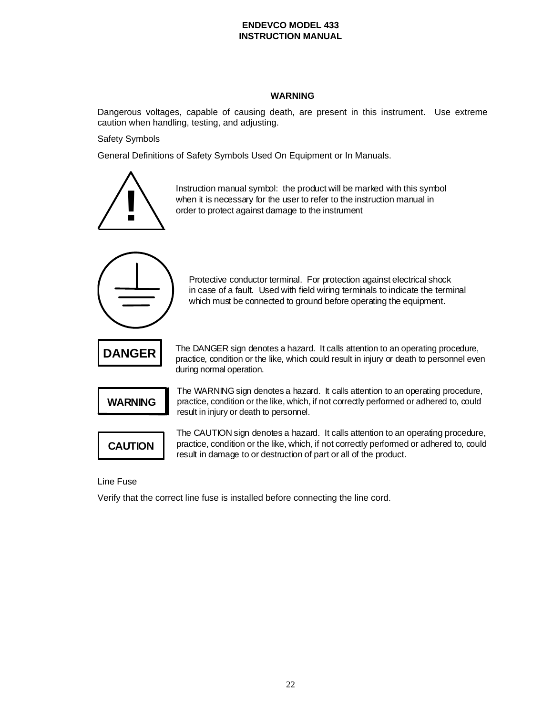# **WARNING**

Dangerous voltages, capable of causing death, are present in this instrument. Use extreme caution when handling, testing, and adjusting.

Safety Symbols

General Definitions of Safety Symbols Used On Equipment or In Manuals.



Instruction manual symbol: the product will be marked with this symbol when it is necessary for the user to refer to the instruction manual in order to protect against damage to the instrument



Protective conductor terminal. For protection against electrical shock in case of a fault. Used with field wiring terminals to indicate the terminal which must be connected to ground before operating the equipment.



The DANGER sign denotes a hazard. It calls attention to an operating procedure, practice, condition or the like, which could result in injury or death to personnel even during normal operation.



The WARNING sign denotes a hazard. It calls attention to an operating procedure, practice, condition or the like, which, if not correctly performed or adhered to, could result in injury or death to personnel.



The CAUTION sign denotes a hazard. It calls attention to an operating procedure, practice, condition or the like, which, if not correctly performed or adhered to, could result in damage to or destruction of part or all of the product.

Line Fuse

Verify that the correct line fuse is installed before connecting the line cord.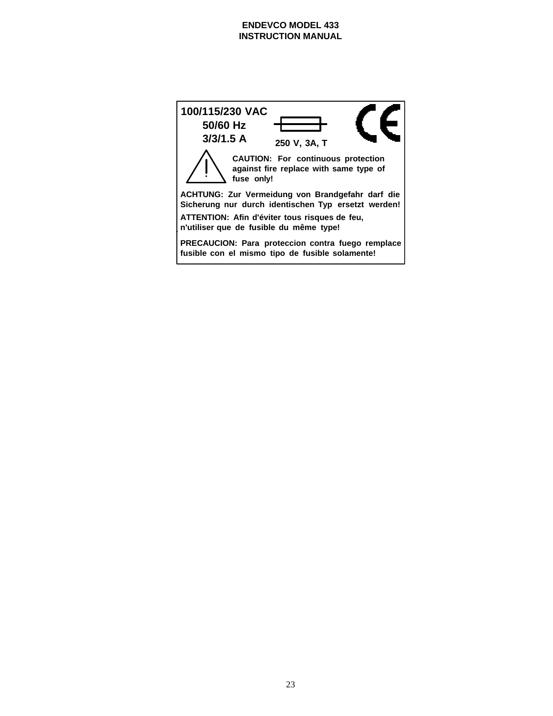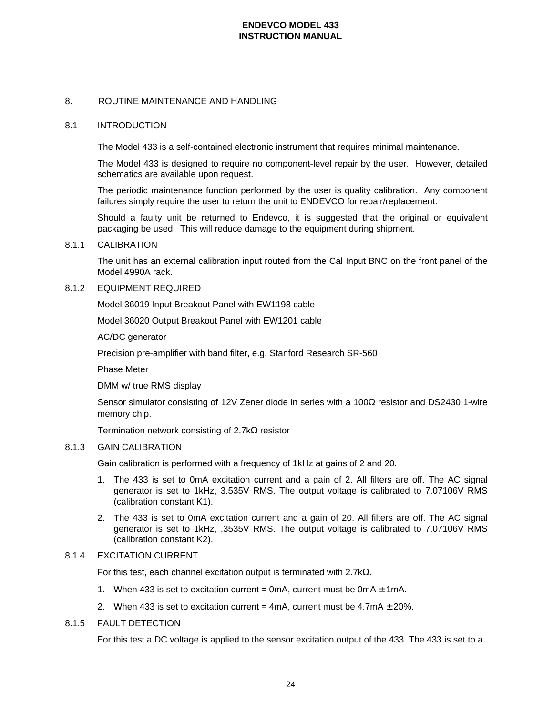# 8. ROUTINE MAINTENANCE AND HANDLING

#### 8.1 INTRODUCTION

The Model 433 is a self-contained electronic instrument that requires minimal maintenance.

The Model 433 is designed to require no component-level repair by the user. However, detailed schematics are available upon request.

The periodic maintenance function performed by the user is quality calibration. Any component failures simply require the user to return the unit to ENDEVCO for repair/replacement.

Should a faulty unit be returned to Endevco, it is suggested that the original or equivalent packaging be used. This will reduce damage to the equipment during shipment.

#### 8.1.1 CALIBRATION

The unit has an external calibration input routed from the Cal Input BNC on the front panel of the Model 4990A rack.

#### 8.1.2 EQUIPMENT REQUIRED

Model 36019 Input Breakout Panel with EW1198 cable

Model 36020 Output Breakout Panel with EW1201 cable

AC/DC generator

Precision pre-amplifier with band filter, e.g. Stanford Research SR-560

Phase Meter

DMM w/ true RMS display

Sensor simulator consisting of 12V Zener diode in series with a 100Ω resistor and DS2430 1-wire memory chip.

Termination network consisting of 2.7kΩ resistor

#### 8.1.3 GAIN CALIBRATION

Gain calibration is performed with a frequency of 1kHz at gains of 2 and 20.

- 1. The 433 is set to 0mA excitation current and a gain of 2. All filters are off. The AC signal generator is set to 1kHz, 3.535V RMS. The output voltage is calibrated to 7.07106V RMS (calibration constant K1).
- 2. The 433 is set to 0mA excitation current and a gain of 20. All filters are off. The AC signal generator is set to 1kHz, .3535V RMS. The output voltage is calibrated to 7.07106V RMS (calibration constant K2).

#### 8.1.4 EXCITATION CURRENT

For this test, each channel excitation output is terminated with 2.7kΩ.

- 1. When 433 is set to excitation current = 0mA, current must be 0mA  $\pm$  1mA.
- 2. When 433 is set to excitation current =  $4mA$ , current must be  $4.7mA \pm 20\%$ .

### 8.1.5 FAULT DETECTION

For this test a DC voltage is applied to the sensor excitation output of the 433. The 433 is set to a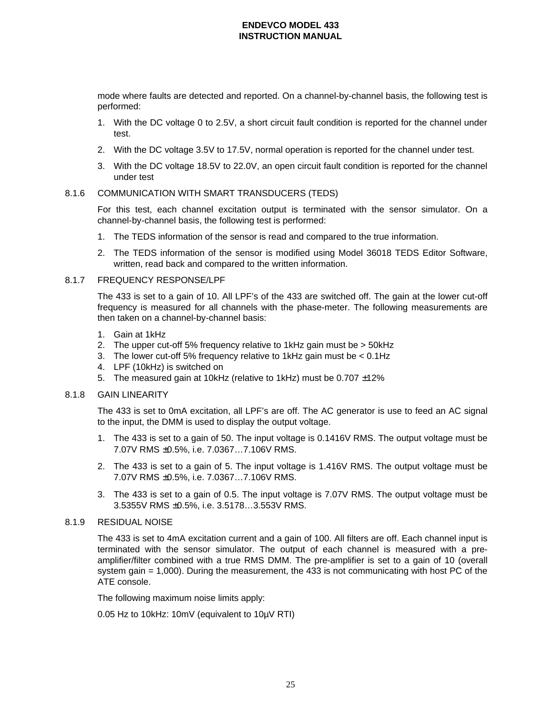mode where faults are detected and reported. On a channel-by-channel basis, the following test is performed:

- 1. With the DC voltage 0 to 2.5V, a short circuit fault condition is reported for the channel under test.
- 2. With the DC voltage 3.5V to 17.5V, normal operation is reported for the channel under test.
- 3. With the DC voltage 18.5V to 22.0V, an open circuit fault condition is reported for the channel under test

#### 8.1.6 COMMUNICATION WITH SMART TRANSDUCERS (TEDS)

For this test, each channel excitation output is terminated with the sensor simulator. On a channel-by-channel basis, the following test is performed:

- 1. The TEDS information of the sensor is read and compared to the true information.
- 2. The TEDS information of the sensor is modified using Model 36018 TEDS Editor Software, written, read back and compared to the written information.

### 8.1.7 FREQUENCY RESPONSE/LPF

The 433 is set to a gain of 10. All LPF's of the 433 are switched off. The gain at the lower cut-off frequency is measured for all channels with the phase-meter. The following measurements are then taken on a channel-by-channel basis:

- 1. Gain at 1kHz
- 2. The upper cut-off 5% frequency relative to 1kHz gain must be > 50kHz
- 3. The lower cut-off 5% frequency relative to 1kHz gain must be < 0.1Hz
- 4. LPF (10kHz) is switched on
- 5. The measured gain at 10kHz (relative to 1kHz) must be 0.707 ±12%

#### 8.1.8 GAIN LINEARITY

The 433 is set to 0mA excitation, all LPF's are off. The AC generator is use to feed an AC signal to the input, the DMM is used to display the output voltage.

- 1. The 433 is set to a gain of 50. The input voltage is 0.1416V RMS. The output voltage must be 7.07V RMS ±0.5%, i.e. 7.0367…7.106V RMS.
- 2. The 433 is set to a gain of 5. The input voltage is 1.416V RMS. The output voltage must be 7.07V RMS ±0.5%, i.e. 7.0367…7.106V RMS.
- 3. The 433 is set to a gain of 0.5. The input voltage is 7.07V RMS. The output voltage must be 3.5355V RMS ±0.5%, i.e. 3.5178…3.553V RMS.

#### 8.1.9 RESIDUAL NOISE

The 433 is set to 4mA excitation current and a gain of 100. All filters are off. Each channel input is terminated with the sensor simulator. The output of each channel is measured with a preamplifier/filter combined with a true RMS DMM. The pre-amplifier is set to a gain of 10 (overall system gain = 1,000). During the measurement, the 433 is not communicating with host PC of the ATE console.

The following maximum noise limits apply:

0.05 Hz to 10kHz: 10mV (equivalent to 10µV RTI)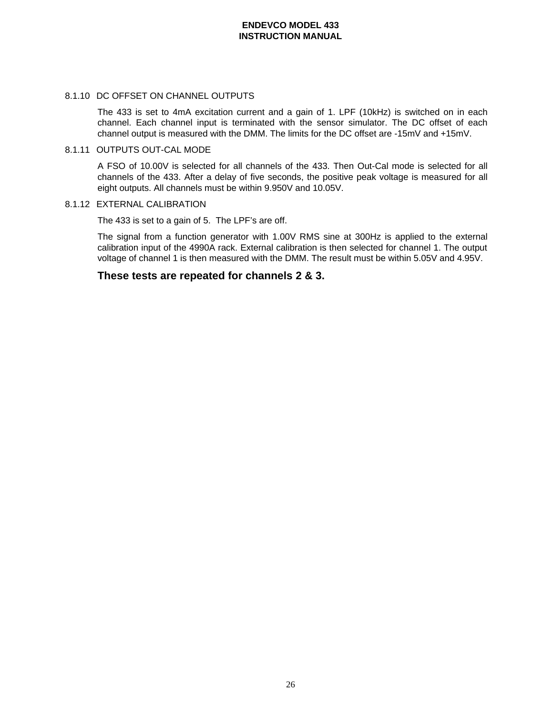#### 8.1.10 DC OFFSET ON CHANNEL OUTPUTS

The 433 is set to 4mA excitation current and a gain of 1. LPF (10kHz) is switched on in each channel. Each channel input is terminated with the sensor simulator. The DC offset of each channel output is measured with the DMM. The limits for the DC offset are -15mV and +15mV.

### 8.1.11 OUTPUTS OUT-CAL MODE

A FSO of 10.00V is selected for all channels of the 433. Then Out-Cal mode is selected for all channels of the 433. After a delay of five seconds, the positive peak voltage is measured for all eight outputs. All channels must be within 9.950V and 10.05V.

### 8.1.12 EXTERNAL CALIBRATION

The 433 is set to a gain of 5. The LPF's are off.

The signal from a function generator with 1.00V RMS sine at 300Hz is applied to the external calibration input of the 4990A rack. External calibration is then selected for channel 1. The output voltage of channel 1 is then measured with the DMM. The result must be within 5.05V and 4.95V.

# **These tests are repeated for channels 2 & 3.**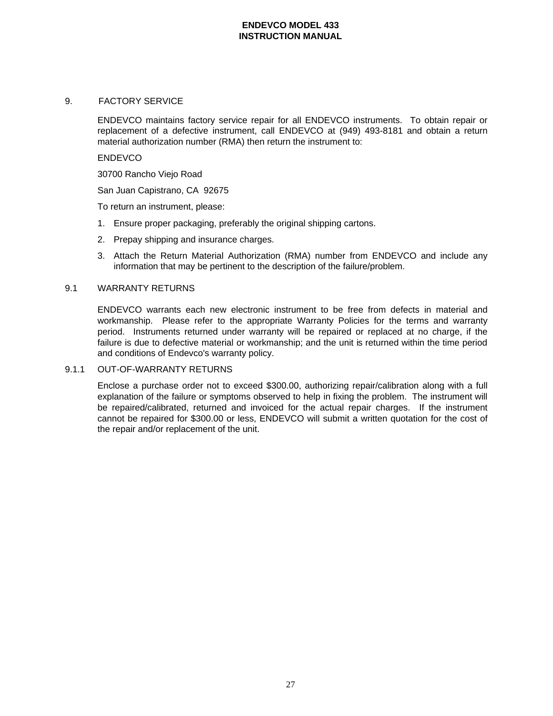### 9. FACTORY SERVICE

ENDEVCO maintains factory service repair for all ENDEVCO instruments. To obtain repair or replacement of a defective instrument, call ENDEVCO at (949) 493-8181 and obtain a return material authorization number (RMA) then return the instrument to:

#### **ENDEVCO**

30700 Rancho Viejo Road

San Juan Capistrano, CA 92675

To return an instrument, please:

- 1. Ensure proper packaging, preferably the original shipping cartons.
- 2. Prepay shipping and insurance charges.
- 3. Attach the Return Material Authorization (RMA) number from ENDEVCO and include any information that may be pertinent to the description of the failure/problem.

### 9.1 WARRANTY RETURNS

ENDEVCO warrants each new electronic instrument to be free from defects in material and workmanship. Please refer to the appropriate Warranty Policies for the terms and warranty period. Instruments returned under warranty will be repaired or replaced at no charge, if the failure is due to defective material or workmanship; and the unit is returned within the time period and conditions of Endevco's warranty policy.

#### 9.1.1 OUT-OF-WARRANTY RETURNS

Enclose a purchase order not to exceed \$300.00, authorizing repair/calibration along with a full explanation of the failure or symptoms observed to help in fixing the problem. The instrument will be repaired/calibrated, returned and invoiced for the actual repair charges. If the instrument cannot be repaired for \$300.00 or less, ENDEVCO will submit a written quotation for the cost of the repair and/or replacement of the unit.